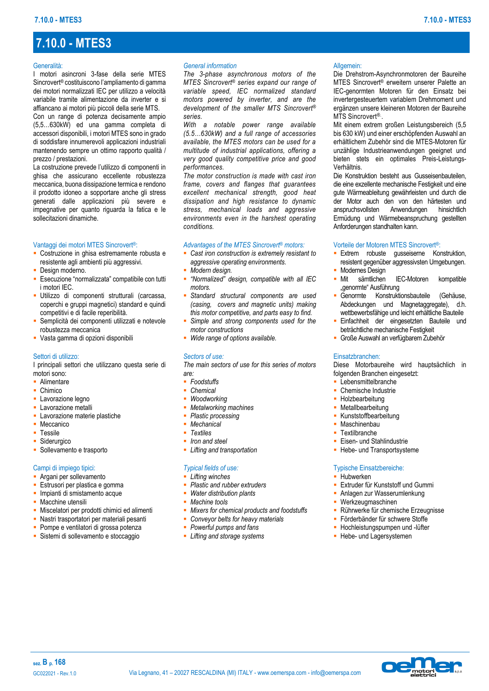# **7.10.0 - MTES3**

#### Generalità:

I motori asincroni 3-fase della serie MTES Sincrovert® costituiscono l'ampliamento di gamma dei motori normalizzati IEC per utilizzo a velocità variabile tramite alimentazione da inverter e si affiancano ai motori più piccoli della serie MTS.

Con un range di potenza decisamente ampio (5,5…630kW) ed una gamma completa di accessori disponibili, i motori MTES sono in grado di soddisfare innumerevoli applicazioni industriali mantenendo sempre un ottimo rapporto qualità / prezzo / prestazioni.

La costruzione prevede l'utilizzo di componenti in ghisa che assicurano eccellente robustezza meccanica, buona dissipazione termica e rendono il prodotto idoneo a sopportare anche gli stress generati dalle applicazioni più severe e impegnative per quanto riguarda la fatica e le sollecitazioni dinamiche.

#### Vantaggi dei motori MTES Sincrovert®:

- **EXECOSTRUZIONE in ghisa estremamente robusta e** resistente agli ambienti più aggressivi.
- **Design moderno.**
- **Esecuzione "normalizzata" compatibile con tutti** i motori IEC.
- Utilizzo di componenti strutturali (carcassa, coperchi e gruppi magnetici) standard e quindi competitivi e di facile reperibilità.
- Semplicità dei componenti utilizzati e notevole robustezza meccanica
- Vasta gamma di opzioni disponibili

### Settori di utilizzo:

I principali settori che utilizzano questa serie di motori sono:

- **•** Alimentare
- Chimico
- **·** Lavorazione legno
- **Lavorazione metalli**
- **E** Lavorazione materie plastiche
- **Meccanico**
- **Tessile**
- Siderurgico
- **•** Sollevamento e trasporto

### Campi di impiego tipici:

- **EXP** Argani per sollevamento
- **Estrusori per plastica e gomma**
- Impianti di smistamento acque
- **■** Macchine utensili
- Miscelatori per prodotti chimici ed alimenti
- **·** Nastri trasportatori per materiali pesanti
- Pompe e ventilatori di grossa potenza
- **EXISTEMI di sollevamento e stoccaggio**

#### *General information*

*The 3-phase asynchronous motors of the MTES Sincrovert® series expand our range of variable speed, IEC normalized standard motors powered by inverter, and are the development of the smaller MTS Sincrovert® series.*

*With a notable power range available (5.5…630kW) and a full range of accessories available, the MTES motors can be used for a multitude of industrial applications, offering a very good quality competitive price and good performances.*

*The motor construction is made with cast iron frame, covers and flanges that guarantees excellent mechanical strength, good heat dissipation and high resistance to dynamic stress, mechanical loads and aggressive environments even in the harshest operating conditions.*

#### *Advantages of the MTES Sincrovert® motors:*

- *Cast iron construction is extremely resistant to aggressive operating environments.*
- **Modern** design.
- *"Normalized" design, compatible with all IEC motors.*
- Standard structural components are used *(casing, covers and magnetic units) making this motor competitive, and parts easy to find.*
- *Simple and strong components used for the motor constructions*
- *Wide range of options available.*

## *Sectors of use:*

*The main sectors of use for this series of motors are:*

- *Foodstuffs*
- *Chemical*
- *Woodworking*
- *Metalworking machines*
- *Plastic processing*
- *Mechanical*
- *Textiles*
- *Iron and steel*
- *Lifting and transportation*

### *Typical fields of use:*

- *Lifting winches*
- *Plastic and rubber extruders*
	- *Water distribution plants*
	- *Machine tools*
	- *Mixers for chemical products and foodstuffs*
	- *Conveyor belts for heavy materials*
	- *Powerful pumps and fans*
	- *Lifting and storage systems*

#### Allgemein:

Die Drehstrom-Asynchronmotoren der Baureihe MTES Sincrovert® erweitern unserer Palette an IEC-genormten Motoren für den Einsatz bei invertergesteuertem variablem Drehmoment und ergänzen unsere kleineren Motoren der Baureihe MTS Sincrovert<sup>®</sup>.

Mit einem extrem großen Leistungsbereich (5,5 bis 630 kW) und einer erschöpfenden Auswahl an erhältlichem Zubehör sind die MTES-Motoren für unzählige Industrieanwendungen geeignet und bieten stets ein optimales Preis-Leistungs-Verhältnis.

Die Konstruktion besteht aus Gusseisenbauteilen, die eine exzellente mechanische Festigkeit und eine gute Wärmeableitung gewährleisten und durch die der Motor auch den von den härtesten und anspruchsvollsten Anwendungen hinsichtlich Ermüdung und Wärmebeanspruchung gestellten Anforderungen standhalten kann.

#### Vorteile der Motoren MTES Sincrovert®:

- **Extrem** robuste gusseiserne Konstruktion, resistent gegenüber aggressivsten Umgebungen.
- **■** Modernes Design<br>■ Mit sämtlichen IEC-Motoren kompatible "genormte" Ausführung
- **·** Genormte Konstruktionsbauteile (Gehäuse, Abdeckungen und Magnetaggregate), d.h. wettbewerbsfähige und leicht erhältliche Bauteile
- **Einfachheit der eingesetzten Bauteile und** beträchtliche mechanische Festigkeit
- **·** Große Auswahl an verfügbarem Zubehör

#### Einsatzbranchen:

Diese Motorbaureihe wird hauptsächlich in folgenden Branchen eingesetzt:

- **E** Lebensmittelbranche
- Chemische Industrie
- **· Holzbearbeitung**
- **•** Metallbearbeitung
- **EXunststoffbearbeitung**
- **Maschinenbau**
- **· Textilbranche**
- **Eisen- und Stahlindustrie**
- **Hebe- und Transportsysteme**

## Typische Einsatzbereiche:

- **-** Hubwerken
- **Extruder für Kunststoff und Gummi**
- Anlagen zur Wasserumlenkung
- **Werkzeugmaschinen**
- **· Rührwerke für chemische Erzeugnisse**
- **· Förderbänder für schwere Stoffe**
- **Hochleistungspumpen und -lüfter**
- **· Hebe- und Lagersystemen**

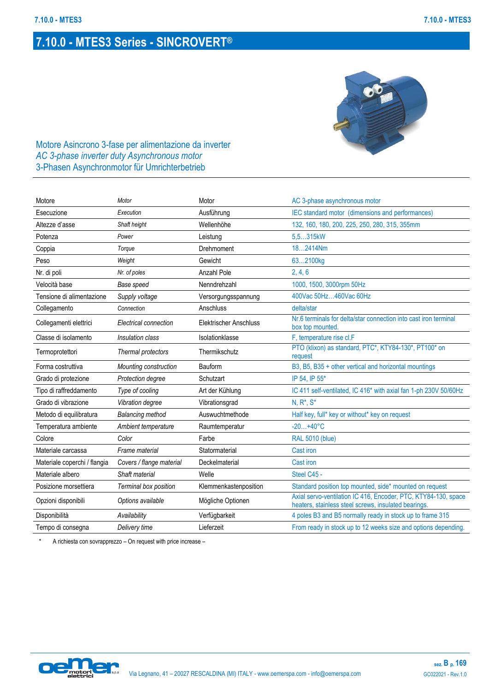

Motore Asincrono 3-fase per alimentazione da inverter *AC 3-phase inverter duty Asynchronous motor* 3-Phasen Asynchronmotor für Umrichterbetrieb

| Motore                       | Motor                    | Motor                         | AC 3-phase asynchronous motor                                                                                          |
|------------------------------|--------------------------|-------------------------------|------------------------------------------------------------------------------------------------------------------------|
| Esecuzione                   | Execution                | Ausführung                    | IEC standard motor (dimensions and performances)                                                                       |
| Altezze d'asse               | Shaft height             | Wellenhöhe                    | 132, 160, 180, 200, 225, 250, 280, 315, 355mm                                                                          |
| Potenza                      | Power                    | Leistung                      | 5,5315kW                                                                                                               |
| Coppia                       | Torque                   | Drehmoment                    | 182414Nm                                                                                                               |
| Peso                         | Weight                   | Gewicht                       | 632100kg                                                                                                               |
| Nr. di poli                  | Nr. of poles             | Anzahl Pole                   | 2, 4, 6                                                                                                                |
| Velocità base                | Base speed               | Nenndrehzahl                  | 1000, 1500, 3000rpm 50Hz                                                                                               |
| Tensione di alimentazione    | Supply voltage           | Versorgungsspannung           | 400Vac 50Hz460Vac 60Hz                                                                                                 |
| Collegamento                 | Connection               | Anschluss                     | delta/star                                                                                                             |
| Collegamenti elettrici       | Electrical connection    | <b>Elektrischer Anschluss</b> | Nr.6 terminals for delta/star connection into cast iron terminal<br>box top mounted.                                   |
| Classe di isolamento         | Insulation class         | Isolationklasse               | F, temperature rise cl.F                                                                                               |
| Termoprotettori              | Thermal protectors       | Thermikschutz                 | PTO (klixon) as standard, PTC*, KTY84-130*, PT100* on<br>request                                                       |
| Forma costruttiva            | Mounting construction    | Bauform                       | B3, B5, B35 + other vertical and horizontal mountings                                                                  |
| Grado di protezione          | Protection degree        | Schutzart                     | IP 54, IP 55*                                                                                                          |
| Tipo di raffreddamento       | Type of cooling          | Art der Kühlung               | IC 411 self-ventilated, IC 416* with axial fan 1-ph 230V 50/60Hz                                                       |
| Grado di vibrazione          | Vibration degree         | Vibrationsgrad                | $N, R^*, S^*$                                                                                                          |
| Metodo di equilibratura      | <b>Balancing method</b>  | Auswuchtmethode               | Half key, full* key or without* key on request                                                                         |
| Temperatura ambiente         | Ambient temperature      | Raumtemperatur                | $-20+40^{\circ}C$                                                                                                      |
| Colore                       | Color                    | Farbe                         | <b>RAL 5010 (blue)</b>                                                                                                 |
| Materiale carcassa           | Frame material           | Statormaterial                | <b>Cast iron</b>                                                                                                       |
| Materiale coperchi / flangia | Covers / flange material | Deckelmaterial                | Cast iron                                                                                                              |
| Materiale albero             | Shaft material           | Welle                         | Steel C45 -                                                                                                            |
| Posizione morsettiera        | Terminal box position    | Klemmenkastenposition         | Standard position top mounted, side* mounted on request                                                                |
| Opzioni disponibili          | Options available        | Mögliche Optionen             | Axial servo-ventilation IC 416, Encoder, PTC, KTY84-130, space<br>heaters, stainless steel screws, insulated bearings. |
| Disponibilità                | Availability             | Verfügbarkeit                 | 4 poles B3 and B5 normally ready in stock up to frame 315                                                              |
| Tempo di consegna            | Delivery time            | Lieferzeit                    | From ready in stock up to 12 weeks size and options depending.                                                         |

A richiesta con sovrapprezzo – On request with price increase –

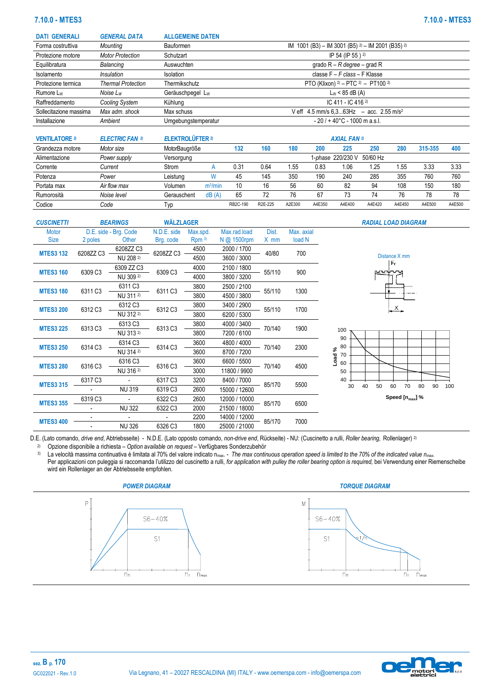# **7.10.0 - MTES3 7.10.0 - MTES3**

| <b>DATI GENERALI</b>   | <b>GENERAL DATA</b>       | <b>ALLGEMEINE DATEN</b> |                                                            |
|------------------------|---------------------------|-------------------------|------------------------------------------------------------|
| Forma costruttiva      | Mounting                  | <b>Bauformen</b>        | IM 1001 (B3) - IM 3001 (B5) $2$ ) - IM 2001 (B35) $2$ )    |
| Protezione motore      | <b>Motor Protection</b>   | Schutzart               | IP 54 (IP 55) <sup>2)</sup>                                |
| Equilibratura          | Balancing                 | Auswuchten              | grado $R - R$ degree – grad R                              |
| Isolamento             | <i><b>Insulation</b></i>  | Isolation               | classe F - F class - F Klasse                              |
| Protezione termica     | <b>Thermal Protection</b> | Thermikschutz           | PTO (Klixon) $2$ – PTC $2$ – PT100 $2$ )                   |
| Rumore L <sub>w</sub>  | Noise Lw                  | Geräuschpegel Lw        | $L_W$ < 85 dB (A)                                          |
| Raffreddamento         | Cooling System            | Kühlung                 | IC 411 - IC 416 2)                                         |
| Sollecitazione massima | Max adm. shock            | Max schuss              | V eff $4.5$ mm/s $6.363$ Hz $-$ acc. 2.55 m/s <sup>2</sup> |
| Installazione          | Ambient                   | Umgebungstemperatur     | $-20/ + 40^{\circ}$ C - 1000 m a.s.l.                      |
|                        |                           |                         |                                                            |

| <b>VENTILATORE 2</b> | <b>ELECTRIC FAN 3</b> | <b>ELEKTROLÜFTER 2)</b> |                     | <b>AXIAL FAN 2)</b> |                      |        |        |                  |          |        |         |        |  |  |  |
|----------------------|-----------------------|-------------------------|---------------------|---------------------|----------------------|--------|--------|------------------|----------|--------|---------|--------|--|--|--|
| Grandezza motore     | Motor size            | MotorBaugröße           |                     | 132                 | 160                  | 180    | 200    | 225              | 250      | 280    | 315-355 | 400    |  |  |  |
| Alimentazione        | Power supply          | Versorgung              |                     |                     |                      |        |        | -phase 220/230 V | 50/60 Hz |        |         |        |  |  |  |
| Corrente             | Current               | Strom                   |                     | 0.31                | 0.64                 | 1.55   | 0.83   | 1.06             | l.25     | . 55   | 3.33    | 3.33   |  |  |  |
| Potenza              | Power                 | Leistung                |                     | 45                  | 145                  | 350    | 190    | 240              | 285      | 355    | 760     | 760    |  |  |  |
| Portata max          | Air flow max          | Volumen                 | m <sup>3</sup> /min | 10                  | 16                   | 56     | 60     | 82               | 94       | 108    | 150     | 180    |  |  |  |
| Rumorosità           | Noise level           | Gerauschent             | dB(A)               | 65                  | 72                   | 76     | 67     | 73               | 74       | 76     | 78      | 78     |  |  |  |
| Codice               | Code                  | l yp                    |                     | RB2C-190            | R <sub>2E</sub> -225 | A2E300 | A4E350 | A4E400           | A4E420   | A4E450 | A4E500  | A4E500 |  |  |  |

| <b>CUSCINETTI</b> |           | <b>BEARINGS</b>       | <b>WÄLZLAGER</b> |          |               |        |            | <b>RADIAL LOAD DIAGRAM</b>                    |
|-------------------|-----------|-----------------------|------------------|----------|---------------|--------|------------|-----------------------------------------------|
| <b>Motor</b>      |           | D.E. side - Brg. Code | N.D.E. side      | Max.spd. | Max.rad.load  | Dist.  | Max. axial |                                               |
| <b>Size</b>       | 2 poles   | Other                 | Brg. code        | Rpm 3    | N @ 1500rpm   | X mm   | load N     |                                               |
|                   |           | 6208ZZ C3             |                  | 4500     | 2000 / 1700   |        |            |                                               |
| <b>MTES3 132</b>  | 6208ZZ C3 | NU 208 2)             | 6208ZZ C3        | 4500     | 3600 / 3000   | 40/80  | 700        | Distance X mm                                 |
|                   |           | 6309 ZZ C3            |                  | 4000     | 2100 / 1800   | 55/110 |            | Fr.                                           |
| <b>MTES3 160</b>  | 6309 C3   | NU 309 2)             | 6309 C3          | 4000     | 3800 / 3200   |        | 900        |                                               |
|                   |           | 6311 C3               |                  | 3800     | 2500 / 2100   |        |            |                                               |
| <b>MTES3 180</b>  | 6311 C3   | NU 311 2)             | 6311 C3          | 3800     | 4500 / 3800   | 55/110 | 1300       |                                               |
|                   |           | 6312 C3               |                  | 3800     | 3400 / 2900   |        |            |                                               |
| <b>MTES3 200</b>  | 6312 C3   | NU 312 2)             | 6312 C3          | 3800     | 6200 / 5300   | 55/110 | 1700       | $\frac{x}{1-x}$                               |
|                   |           | 6313 C3               |                  | 3800     | 4000 / 3400   |        |            |                                               |
| <b>MTES3 225</b>  | 6313 C3   | NU 313 2)             | 6313 C3          | 3800     | 7200 / 6100   | 70/140 | 1900       | 100                                           |
|                   |           | 6314 C3               |                  | 3600     | 4800 / 4000   | 70/140 |            | 90                                            |
| <b>MTES3 250</b>  | 6314 C3   | NU 314 2)             | 6314 C3          | 3600     | 8700 / 7200   |        | 2300       | 80<br>70                                      |
|                   |           | 6316 C3               |                  | 3600     | 6600 / 5500   |        |            | Load<br>60                                    |
| <b>MTES3 280</b>  | 6316 C3   | NU 316 2)             | 6316 C3          | 3000     | 11800 / 9900  | 70/140 | 4500       | 50                                            |
|                   | 6317 C3   |                       | 6317 C3          | 3200     | 8400 / 7000   |        |            | 40                                            |
| <b>MTES3 315</b>  |           | <b>NU 319</b>         | 6319 C3          | 2600     | 15000 / 12600 | 85/170 | 5500       | 70<br>30<br>40<br>50<br>60<br>80<br>90<br>100 |
|                   | 6319 C3   |                       | 6322 C3          | 2600     | 12000 / 10000 |        |            | Speed $[n_{max}]$ %                           |
| <b>MTES3 355</b>  |           | <b>NU 322</b>         | 6322 C3          | 2000     | 21500 / 18000 | 85/170 | 6500       |                                               |
|                   |           |                       |                  | 2200     | 14000 / 12000 |        |            |                                               |
| <b>MTES3 400</b>  |           | <b>NU 326</b>         | 6326 C3          | 1800     | 25000 / 21000 | 85/170 | 7000       |                                               |

D.E. (Lato comando, *drive end*, Abtriebsseite) - N.D.E. (Lato opposto comando, *non-drive end*, Rückseite) - NU: (Cuscinetto a rulli, *Roller bearing,* Rollenlager) 2)

2) Opzione disponibile a richiesta – *Option* a*vailable on request* – Verfügbares Sonderzubehör 3) La velocità massima continuativa è limitata al 70% del valore indicato nmax. - *The max continuous operation speed is limited to the 70% of the indicated value nmax.* Per applicazioni con puleggia si raccomanda l'utilizzo del cuscinetto a rulli, for application with pulley the roller bearing option is required, bei Verwendung einer Riemenscheibe wird ein Rollenlager an der Abtriebsseite empfohlen.





# **sez. B p. 170**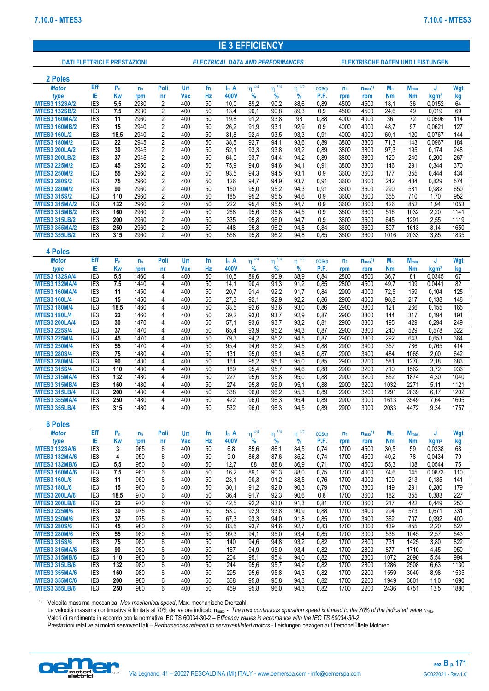# **IE 3 EFFICIENCY**

**DATI ELETTRICI E PRESTAZIONI** *ELECTRICAL DATA AND PERFORMANCES* **ELEKTRISCHE DATEN UND LEISTUNGEN**

| 2 Poles                                      |                                    |                |              |                     |            |          |                  |                        |                        |                           |                  |                |                         |                   |                         |                            |              |
|----------------------------------------------|------------------------------------|----------------|--------------|---------------------|------------|----------|------------------|------------------------|------------------------|---------------------------|------------------|----------------|-------------------------|-------------------|-------------------------|----------------------------|--------------|
| <b>Motor</b>                                 | <b>Eff</b>                         | $P_n$          | $n_{n}$      | Poli                | Un         | fn       | $\mathsf{I}_n$ A | $\eta$ <sup>4/4</sup>  | $\eta$ <sup>3/4</sup>  | $\eta^{-1/2}$             | COS <sub>0</sub> | n <sub>1</sub> | $n_{max}$ <sup>1)</sup> | $M_n$             | $M_{\text{max}}$        | J                          | Wgt          |
| type                                         | IE                                 | <b>Kw</b>      | rpm          | nr                  | Vac        | Hz       | 400V             | %                      | %                      | %                         | P.F.             | rpm            | rpm                     | <b>Nm</b>         | <b>Nm</b>               | kgm <sup>2</sup>           | kg           |
| <b>MTES3 132SA/2</b><br><b>MTES3 132SB/2</b> | IE <sub>3</sub><br>IE <sub>3</sub> | 5,5<br>7,5     | 2930<br>2930 | 2<br>$\overline{2}$ | 400<br>400 | 50<br>50 | 10,0<br>13,4     | 89,2<br>90,1           | 90,2<br>90,8           | 88,6<br>89,3              | 0,89<br>0.9      | 4500<br>4500   | 4500<br>4500            | 18,1<br>24,6      | 36<br>49                | 0.0152<br>0,019            | 64<br>69     |
| <b>MTES3 160MA/2</b>                         | IE <sub>3</sub>                    | 11             | 2960         | $\overline{2}$      | 400        | 50       | 19,8             | 91,2                   | 93,8                   | 93                        | 0,88             | 4000           | 4000                    | 36                | 72                      | 0,0596                     | 114          |
| <b>MTES3 160MB/2</b>                         | IE <sub>3</sub>                    | 15             | 2940         | 2                   | 400        | 50       | 26,2             | 91,9                   | 93,1                   | 92,9                      | 0.9              | 4000           | 4000                    | 48,7              | 97                      | 0,0621                     | 127          |
| <b>MTES3 160L/2</b>                          | IE <sub>3</sub>                    | 18,5           | 2940         | 2                   | 400        | 50       | 31,8             | 92,4                   | 93.5                   | 93,3                      | 0,91             | 4000           | 4000                    | 60.1              | 120                     | 0,0767                     | 144          |
| <b>MTES3 180M/2</b>                          | IE <sub>3</sub>                    | 22             | 2945         | 2                   | 400        | 50       | 38,5             | 92,7                   | 94,1                   | 93,6                      | 0,89             | 3800           | 3800                    | 71,3              | 143                     | 0,0967                     | 184          |
| <b>MTES3 200LA/2</b>                         | IE <sub>3</sub>                    | 30             | 2945         | $\overline{2}$      | 400        | 50       | 52,1             | 93,3                   | 93,8                   | 93.2                      | 0,89             | 3800           | 3800                    | 97,3              | 195                     | 0,174                      | 248          |
| <b>MTES3 200LB/2</b><br><b>MTES3 225M/2</b>  | IE <sub>3</sub><br>IE <sub>3</sub> | 37<br>45       | 2945<br>2950 | 2<br>2              | 400<br>400 | 50<br>50 | 64,0<br>75,9     | 93,7<br>94,0           | 94,4<br>94,6           | 94.2<br>94,1              | 0,89<br>0,91     | 3800<br>3800   | 3800<br>3800            | 120<br>146        | 240<br>291              | 0,200<br>0,344             | 267<br>370   |
| <b>MTES3 250M/2</b>                          | IE <sub>3</sub>                    | 55             | 2960         | $\overline{2}$      | 400        | 50       | 93,5             | 94,3                   | 94,5                   | 93,1                      | 0.9              | 3600           | 3600                    | 177               | 355                     | 0,444                      | 434          |
| <b>MTES3 280S/2</b>                          | IE <sub>3</sub>                    | 75             | 2960         | 2                   | 400        | 50       | 126              | 94,7                   | 94,9                   | 93,7                      | 0,91             | 3600           | 3600                    | 242               | 484                     | 0,829                      | 574          |
| <b>MTES3 280M/2</b>                          | IE <sub>3</sub>                    | 90             | 2960         | 2                   | 400        | 50       | 150              | 95,0                   | 95,2                   | 94.3                      | 0,91             | 3600           | 3600                    | 290               | 581                     | 0,982                      | 650          |
| <b>MTES3 315S/2</b>                          | IE <sub>3</sub>                    | 110            | 2960         | 2                   | 400        | 50       | 185              | 95,2                   | 95,5                   | 94,6                      | 0,9              | 3600           | 3600                    | 355               | 710                     | 1,70                       | 952          |
| <b>MTES3 315MA/2</b>                         | IE <sub>3</sub>                    | 132            | 2960         | $\overline{2}$      | 400<br>400 | 50<br>50 | 222<br>268       | 95.4                   | 95,5                   | 94.7                      | 0.9              | 3600           | 3600                    | 426               | 852<br>1032             | 1.94                       | 1053<br>1141 |
| <b>MTES3 315MB/2</b><br><b>MTES3 315LB/2</b> | IE <sub>3</sub><br>IE <sub>3</sub> | 160<br>200     | 2960<br>2960 | 2<br>2              | 400        | 50       | 335              | 95,6<br>95,8           | 95,8<br>96,0           | 94,5<br>94,7              | 0,9<br>0,9       | 3600<br>3600   | 3600<br>3600            | 516<br>645        | 1291                    | 2,20<br>2,55               | 1119         |
| <b>MTES3 355MA/2</b>                         | IE <sub>3</sub>                    | 250            | 2960         | 2                   | 400        | 50       | 448              | 95,8                   | 96,2                   | 94,8                      | 0,84             | 3600           | 3600                    | 807               | 1613                    | 3,14                       | 1650         |
| <b>MTES3 355LB/2</b>                         | IE <sub>3</sub>                    | 315            | 2960         | 2                   | 400        | 50       | 558              | 95.8                   | 96,2                   | 94.8                      | 0.85             | 3600           | 3600                    | 1016              | 2033                    | 3,85                       | 1835         |
|                                              |                                    |                |              |                     |            |          |                  |                        |                        |                           |                  |                |                         |                   |                         |                            |              |
| 4 Poles                                      |                                    |                |              |                     |            |          |                  |                        |                        |                           |                  |                |                         |                   |                         |                            |              |
| <b>Motor</b>                                 | Eff                                | $P_n$          | $n_{n}$      | Poli                | Un         | fn       | $\mathsf{I}_n$ A | $\eta^{-4/4}$          | $\eta^{\frac{1}{3/4}}$ | $\eta^{\,1/2}$            | COS <sub>0</sub> | n <sub>1</sub> | $n_{max}$ <sup>1)</sup> | $M_n$             | $M_{\text{max}}$        | J                          | Wgt          |
| type                                         | IE                                 | Kw             | rpm          | nr                  | Vac        | Hz       | 400V             | %                      | %                      | %                         | P.F.             | rpm            | rpm                     | <b>Nm</b>         | <b>Nm</b>               | kgm <sup>2</sup>           | kg           |
| <b>MTES3 132SA/4</b><br><b>MTES3 132MA/4</b> | IE <sub>3</sub><br>IE <sub>3</sub> | 5,5<br>7,5     | 1460<br>1440 | 4<br>4              | 400<br>400 | 50<br>50 | 10,5<br>14,1     | 89,6<br>90,4           | 90,9<br>91,3           | 88,9<br>91,2              | 0,84<br>0,85     | 2800<br>2800   | 4500<br>4500            | 36,7<br>49,7      | 81<br>109               | 0,0345<br>0,0441           | 67<br>82     |
| <b>MTES3 160MA/4</b>                         | IE <sub>3</sub>                    | 11             | 1450         | 4                   | 400        | 50       | 20,7             | 91,4                   | 92,2                   | 91,7                      | 0,84             | 2900           | 4000                    | 72,5              | 159                     | 0.104                      | 125          |
| <b>MTES3 160L/4</b>                          | IE <sub>3</sub>                    | 15             | 1450         | 4                   | 400        | 50       | 27,3             | 92,1                   | 92.9                   | 92,2                      | 0,86             | 2900           | 4000                    | 98,8              | 217                     | 0,138                      | 148          |
| <b>MTES3 180M/4</b>                          | IE <sub>3</sub>                    | 18,5           | 1460         | 4                   | 400        | 50       | 33,5             | 92,6                   | 93,6                   | 93,0                      | 0,86             | 2900           | 3800                    | 121               | 266                     | 0,155                      | 165          |
| <b>MTES3 180L/4</b>                          | IE <sub>3</sub>                    | 22             | 1460         | 4                   | 400        | 50       | 39,2             | 93,0                   | 93.7                   | 92,9                      | 0,87             | 2900           | 3800                    | 144               | 317                     | 0,194                      | 191          |
| <b>MTES3 200LA/4</b><br><b>MTES3 225S/4</b>  | IE <sub>3</sub><br>IE <sub>3</sub> | 30<br>37       | 1470<br>1470 | 4<br>4              | 400<br>400 | 50<br>50 | 57,1<br>65,4     | 93,6<br>93,9           | 93,7<br>95,2           | 93,2<br>94,3              | 0,81<br>0,87     | 2900<br>2900   | 3800<br>3800            | 195<br>240        | 429<br>529              | 0,294<br>0,578             | 249<br>322   |
| <b>MTES3 225M/4</b>                          | IE <sub>3</sub>                    | 45             | 1470         | 4                   | 400        | 50       | 79,3             | 94,2                   | 95,2                   | 94.5                      | 0,87             | 2900           | 3800                    | 292               | 643                     | 0,653                      | 364          |
| <b>MTES3 250M/4</b>                          | IE <sub>3</sub>                    | 55             | 1470         | 4                   | 400        | 50       | 95,4             | 94,6                   | 95,2                   | 94.5                      | 0,88             | 2900           | 3400                    | 357               | 786                     | 0,765                      | 414          |
| <b>MTES3 280S/4</b>                          | IE <sub>3</sub>                    | 75             | 1480         | 4                   | 400        | 50       | 131              | 95,0                   | 95,1                   | 94,8                      | 0,87             | 2900           | 3400                    | 484               | 1065                    | 2,00                       | 642          |
| <b>MTES3 280M/4</b>                          | IE <sub>3</sub>                    | 90             | 1480         | 4                   | 400        | 50       | 161              | 95,2                   | 95,1                   | 95,0                      | 0,85             | 2900           | 3200                    | 581               | 1278                    | 2,18                       | 683          |
| <b>MTES3 315S/4</b><br><b>MTES3 315MA/4</b>  | IE <sub>3</sub><br>IE <sub>3</sub> | 110<br>132     | 1480<br>1480 | 4<br>4              | 400<br>400 | 50<br>50 | 189<br>227       | 95,4<br>95,6           | 95,7<br>95,8           | 94,6<br>95,0              | 0,88<br>0,88     | 2900<br>2900   | 3200<br>3200            | 710<br>852        | 1562<br>1874            | 3,72<br>4,30               | 936<br>1040  |
| <b>MTES3 315MB/4</b>                         | IE <sub>3</sub>                    | 160            | 1480         | 4                   | 400        | 50       | 274              | 95,8                   | 96,0                   | 95,1                      | 0,88             | 2900           | 3200                    | 1032              | 2271                    | 5,11                       | 1121         |
| <b>MTES3 315LB/4</b>                         | IE <sub>3</sub>                    | 200            | 1480         | 4                   | 400        | 50       | 338              | 96,0                   | 96,2                   | 95,3                      | 0,89             | 2900           | 3200                    | 1291              | 2839                    | 6,17                       | 1202         |
| <b>MTES3 355MA/4</b>                         | IE <sub>3</sub>                    | 250            | 1480         | 4                   | 400        | 50       | 422              | 96,0                   | 96,3                   | 95,4                      | 0,89             | 2900           | 3000                    | 1613              | 3549                    | 7,64                       | 1605         |
| <b>MTES3 355LB/4</b>                         | IE <sub>3</sub>                    | 315            | 1480         | 4                   | 400        | 50       | 532              | 96,0                   | 96,3                   | 94,5                      | 0,89             | 2900           | 3000                    | 2033              | 4472                    | 9.34                       | 1757         |
|                                              |                                    |                |              |                     |            |          |                  |                        |                        |                           |                  |                |                         |                   |                         |                            |              |
| <b>6 Poles</b>                               |                                    |                |              |                     |            |          |                  |                        |                        |                           |                  |                |                         |                   |                         |                            |              |
| <b>Motor</b>                                 | Eff<br>IE                          | $P_n$          | $n_{n}$      | Poli                | Un         | fn       | $I_n$ A          | $\eta^{\frac{4}{4/4}}$ | $\eta^{3/4}$           | $\eta^{\,\overline{1/2}}$ | COS <sub>0</sub> | n <sub>1</sub> | $n_{max}$ <sup>1)</sup> | $M_n$             | <b>M</b> <sub>max</sub> | J                          | Wgt          |
| type<br><b>MTES3 132SA/6</b>                 | IE <sub>3</sub>                    | <b>Kw</b><br>3 | rpm<br>965   | nr<br>6             | Vac<br>400 | Hz<br>50 | 400V<br>6,8      | %<br>85,6              | $\%$<br>86,1           | $\%$<br>84,5              | P.F.<br>0,74     | rpm<br>1700    | rpm<br>4500             | <b>Nm</b><br>30,5 | Nm<br>59                | kgm <sup>2</sup><br>0.0338 | kg<br>68     |
| <b>MTES3 132MA/6</b>                         | IE <sub>3</sub>                    | 4              | 950          | 6                   | 400        | 50       | 9,0              | 86,8                   | 87,6                   | 85,2                      | 0,74             | 1700           | 4500                    | 40,2              | 78                      | 0,0434                     | 70           |
| <b>MTES3 132MB/6</b>                         | IE <sub>3</sub>                    | 5,5            | 950          | 6                   | 400        | 50       | 12,7             | 88                     | 88,8                   | 86,9                      | 0,71             | 1700           | 4500                    | 55,3              | 108                     | 0,0544                     | 75           |
| <b>MTES3 160MA/6</b>                         | IE <sub>3</sub>                    | 7,5            | 960          | 6                   | 400        | 50       | 16,2             | 89,1                   | 90,3                   | 88,0                      | 0,75             | 1700           | 4000                    | 74,6              | 145                     | 0,0873                     | 110          |
| <b>MTES3 160L/6</b>                          | IE <sub>3</sub>                    | 11             | 960          | 6                   | 400        | 50       | 23,1             | 90,3                   | 91,2                   | 88,5                      | 0,76             | 1700           | 4000                    | 109               | 213                     | 0,135                      | 141          |
| <b>MTES3 180L/6</b><br><b>MTES3 200LA/6</b>  | IE <sub>3</sub><br>IE <sub>3</sub> | 15<br>18,5     | 960<br>970   | 6<br>6              | 400<br>400 | 50<br>50 | 30,1<br>36,4     | 91,2<br>91,7           | 92,0<br>92,3           | 90,3<br>90,6              | 0,79<br>0,8      | 1700<br>1700   | 3800<br>3600            | 149<br>182        | 291<br>355              | 0,280<br>0,383             | 179<br>227   |
| <b>MTES3 200LB/6</b>                         | IE <sub>3</sub>                    | 22             | 970          | 6                   | 400        | 50       | 42,5             | 92,2                   | 93,0                   | 91,3                      | 0,81             | 1700           | 3600                    | 217               | 422                     | 0,449                      | 250          |
| <b>MTES3 225M/6</b>                          | IE <sub>3</sub>                    | 30             | 975          | 6                   | 400        | 50       | 53,0             | 92,9                   | 93,8                   | 90,9                      | 0,88             | 1700           | 3400                    | 294               | 573                     | 0,671                      | 331          |
| <b>MTES3 250M/6</b>                          | IE <sub>3</sub>                    | 37             | 975          | 6                   | 400        | 50       | 67,3             | 93,3                   | 94,0                   | 91,8                      | 0,85             | 1700           | 3400                    | 362               | 707                     | 0,992                      | 400          |
| <b>MTES3 280S/6</b>                          | IE <sub>3</sub>                    | 45             | 980          | 6                   | 400        | 50       | 83,5             | 93,7                   | 94,6                   | 92,7                      | 0,83             | 1700           | 3000                    | 439               | 855                     | 2,20                       | 527          |
| <b>MTES3 280M/6</b>                          | IE <sub>3</sub>                    | 55             | 980          | 6                   | 400        | 50       | 99,3             | 94,1                   | 95,0                   | 93,4                      | 0,85             | 1700           | 3000                    | 536               | 1045                    | 2,57                       | 543          |
| <b>MTES3 315S/6</b><br><b>MTES3 315MA/6</b>  | IE <sub>3</sub><br>IE <sub>3</sub> | 75<br>90       | 980<br>980   | 6<br>6              | 400<br>400 | 50<br>50 | 140<br>167       | 94,6<br>94,9           | 94,8<br>95,0           | 93,2<br>93,4              | 0,82<br>0,82     | 1700<br>1700   | 2800<br>2800            | 731<br>877        | 1425<br>1710            | 3,80<br>4,45               | 822<br>950   |
| <b>MTES3 315MB/6</b>                         | IE <sub>3</sub>                    | 110            | 980          | 6                   | 400        | 50       | 204              | 95,1                   | 95,4                   | 94,0                      | 0,82             | 1700           | 2800                    | 1072              | 2090                    | 5,54                       | 994          |
| <b>MTES3 315LB/6</b>                         | IE <sub>3</sub>                    | 132            | 980          | 6                   | 400        | 50       | 244              | 95,6                   | 95,7                   | 94,2                      | 0,82             | 1700           | 2800                    | 1286              | 2508                    | 6,63                       | 1130         |
| <b>MTES3 355MA/6</b>                         | IE <sub>3</sub>                    | 160            | 980          | 6                   | 400        | 50       | 295              | 95,6                   | 95,8                   | 94,3                      | 0,82             | 1700           | 2200                    | 1559              | 3040                    | 8,98                       | 1535         |
| <b>MTES3 355MC/6</b>                         | IE <sub>3</sub>                    | 200            | 980          | 6                   | 400        | 50       | 368              | 95,8                   | 95,8                   | 94,3                      | 0,82             | 1700           | 2200                    | 1949              | 3801                    | 11,0                       | 1690         |
| <b>MTES3 355LB/6</b>                         | IE <sub>3</sub>                    | 250            | 980          | 6                   | 400        | 50       | 459              | 95,8                   | 96,0                   | 94,3                      | 0,82             | 1700           | 2200                    | 2436              | 4751                    | 13,5                       | 1880         |

1) Velocità massima meccanica, *Max mechanical speed*, Max. mechanische Drehzahl.

La velocità massima continuativa è limitata al 70% del valore indicato n<sub>max</sub>. - The max continuous operation speed is limited to the 70% of the indicated value n<sub>max</sub>.

Valori di rendimento in accordo con la normativa IEC TS 60034-30-2 – E*fficency values in accordance with the IEC TS 60034-30-2* 

Prestazioni relative ai motori servoventilati – *Performances referred to servoventilated motors* - Leistungen bezogen auf fremdbelüftete Motoren

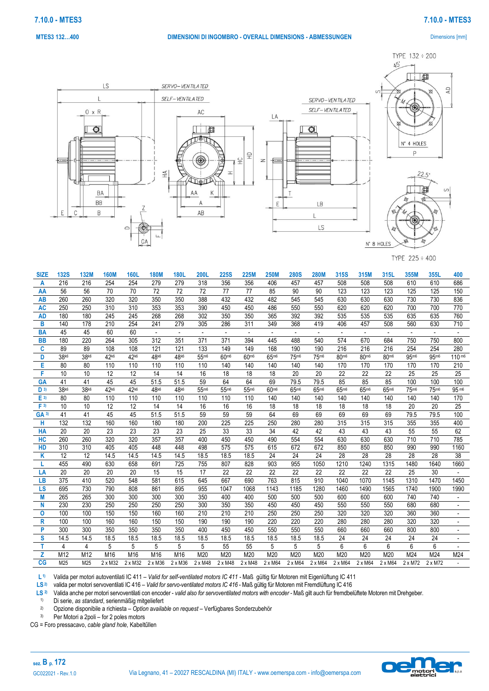#### *50B***MTES3 132…400 DIMENSIONI DI INGOMBRO - OVERALL DIMENSIONS - ABMESSUNGEN** Dimensions [mm]

**7.10.0 - MTES3 7.10.0 - MTES3**

 $\Delta D$ 

TYPE 132 ÷ 200



TYPE 225 ÷ 400

| <b>SIZE</b>     | <b>132S</b> | 132M | <b>160M</b>    | <b>160L</b>    | <b>180M</b>              | <b>180L</b>              | <b>200L</b>              | <b>225S</b>              | <b>225M</b>              | <b>250M</b>              | <b>280S</b>    | <b>280M</b> | 315S             | 315M    | 315L           | 355M           | 355L    | 400                |
|-----------------|-------------|------|----------------|----------------|--------------------------|--------------------------|--------------------------|--------------------------|--------------------------|--------------------------|----------------|-------------|------------------|---------|----------------|----------------|---------|--------------------|
| A               | 216         | 216  | 254            | 254            | 279                      | 279                      | 318                      | 356                      | 356                      | 406                      | 457            | 457         | 508              | 508     | 508            | 610            | 610     | 686                |
| AA              | 56          | 56   | 70             | 70             | 72                       | 72                       | 72                       | 77                       | 77                       | 85                       | 90             | 90          | 123              | 123     | 123            | 125            | 125     | 150                |
| AB              | 260         | 260  | 320            | 320            | 350                      | 350                      | 388                      | 432                      | 432                      | 482                      | 545            | 545         | 630              | 630     | 630            | 730            | 730     | 836                |
| AC              | 250         | 250  | 310            | 310            | 353                      | 353                      | 390                      | 450                      | 450                      | 486                      | 550            | 550         | 620              | 620     | 620            | 700            | 700     | 770                |
| <b>AD</b>       | 180         | 180  | 245            | 245            | 268                      | 268                      | 302                      | 350                      | 350                      | 365                      | 392            | 392         | 535              | 535     | 535            | 635            | 635     | 760                |
| в               | 140         | 178  | 210            | 254            | 241                      | 279                      | 305                      | 286                      | 311                      | 349                      | 368            | 419         | 406              | 457     | 508            | 560            | 630     | 710                |
| <b>BA</b>       | 45          | 45   | 60             | 60             | $\overline{\phantom{a}}$ | $\overline{\phantom{a}}$ | $\overline{\phantom{a}}$ | $\overline{\phantom{a}}$ | $\overline{\phantom{a}}$ | $\overline{\phantom{a}}$ |                |             |                  |         |                |                |         |                    |
| <b>BB</b>       | 180         | 220  | 264            | 305            | 312                      | 351                      | 371                      | 371                      | 394                      | 445                      | 488            | 540         | 574              | 670     | 684            | 750            | 750     | 800                |
| C               | 89          | 89   | 108            | 108            | 121                      | 121                      | 133                      | 149                      | 149                      | 168                      | 190            | 190         | 216              | 216     | 216            | 254            | 254     | 280                |
| D               | 38k6        | 38k6 | 42k6           | 42k6           | 48k6                     | 48k6                     | 55m6                     | 60m6                     | 60m <sub>6</sub>         | 65m6                     | 75m6           | 75m6        | 80m <sub>6</sub> | 80m6    | 80m6           | 95m6           | 95m6    | 110 m <sup>6</sup> |
| E               | 80          | 80   | 110            | 110            | 110                      | 110                      | 110                      | 140                      | 140                      | 140                      | 140            | 140         | 170              | 170     | 170            | 170            | 170     | 210                |
| F               | 10          | 10   | 12             | 12             | 14                       | 14                       | 16                       | 18                       | 18                       | 18                       | 20             | 20          | 22               | 22      | 22             | 25             | 25      | 25                 |
| <b>GA</b>       | 41          | 41   | 45             | 45             | 51.5                     | 51.5                     | 59                       | 64                       | 64                       | 69                       | 79.5           | 79.5        | 85               | 85      | 85             | 100            | 100     | 100                |
| D <sub>3</sub>  | 38k6        | 38k6 | 42k6           | 42k6           | 48k6                     | 48k6                     | 55m6                     | 55m6                     | 55m6                     | 60m6                     | 65m6           | 65m6        | 65m6             | 65m6    | 65m6           | 75m6           | 75m6    | 95 m6              |
| $E$ 3)          | 80          | 80   | 110            | 110            | 110                      | 110                      | 110                      | 110                      | 110                      | 140                      | 140            | 140         | 140              | 140     | 140            | 140            | 140     | 170                |
| F <sup>3</sup>  | 10          | 10   | 12             | 12             | 14                       | 14                       | 16                       | 16                       | 16                       | 18                       | 18             | 18          | 18               | 18      | 18             | 20             | 20      | 25                 |
| GA <sub>3</sub> | 41          | 41   | 45             | 45             | 51.5                     | 51.5                     | 59                       | 59                       | 59                       | 64                       | 69             | 69          | 69               | 69      | 69             | 79.5           | 79.5    | 100                |
| н               | 132         | 132  | 160            | 160            | 180                      | 180                      | 200                      | 225                      | 225                      | 250                      | 280            | 280         | 315              | 315     | 315            | 355            | 355     | 400                |
| HA              | 20          | 20   | 23             | 23             | 23                       | 23                       | 25                       | 33                       | 33                       | 34                       | 42             | 42          | 43               | 43      | 43             | 55             | 55      | 62                 |
| HC              | 260         | 260  | 320            | 320            | 357                      | 357                      | 400                      | 450                      | 450                      | 490                      | 554            | 554         | 630              | 630     | 630            | 710            | 710     | 785                |
| HD              | 310         | 310  | 405            | 405            | 448                      | 448                      | 498                      | 575                      | 575                      | 615                      | 672            | 672         | 850              | 850     | 850            | 990            | 990     | 1160               |
| Κ               | 12          | 12   | 14.5           | 14.5           | 14.5                     | 14.5                     | 18.5                     | 18.5                     | 18.5                     | 24                       | 24             | 24          | 28               | 28      | 28             | 28             | 28      | 38                 |
|                 | 455         | 490  | 630            | 658            | 691                      | 725                      | 755                      | 807                      | 828                      | 903                      | 955            | 1050        | 1210             | 1240    | 1315           | 1480           | 1640    | 1660               |
| LA              | 20          | 20   | 20             | 20             | 15                       | 15                       | 17                       | 22                       | 22                       | 22                       | 22             | 22          | 22               | 22      | 22             | 25             | 30      |                    |
| LB              | 375         | 410  | 520            | 548            | 581                      | 615                      | 645                      | 667                      | 690                      | 763                      | 815            | 910         | 1040             | 1070    | 1145           | 1310           | 1470    | 1450               |
| <b>LS</b>       | 695         | 730  | 790            | 808            | 861                      | 895                      | 955                      | 1047                     | 1068                     | 1143                     | 1185           | 1280        | 1460             | 1490    | 1565           | 1740           | 1900    | 1990               |
| M               | 265         | 265  | 300            | 300            | 300                      | 300                      | 350                      | 400                      | 400                      | 500                      | 500            | 500         | 600              | 600     | 600            | 740            | 740     |                    |
| N               | 230         | 230  | 250            | 250            | 250                      | 250                      | 300                      | 350                      | 350                      | 450                      | 450            | 450         | 550              | 550     | 550            | 680            | 680     |                    |
| 0               | 100         | 100  | 150            | 150            | 160                      | 160                      | 210                      | 210                      | 210                      | 250                      | 250            | 250         | 320              | 320     | 320            | 360            | 360     |                    |
| R               | 100         | 100  | 160            | 160            | 150                      | 150                      | 190                      | 190                      | 190                      | 220                      | 220            | 220         | 280              | 280     | 280            | 320            | 320     |                    |
| P               | 300         | 300  | 350            | 350            | 350                      | 350                      | 400                      | 450                      | 450                      | 550                      | 550            | 550         | 660              | 660     | 660            | 800            | 800     |                    |
| S               | 14.5        | 14.5 | 18.5           | 18.5           | 18.5                     | 18.5                     | 18.5                     | 18.5                     | 18.5                     | 18.5                     | 18.5           | 18.5        | 24               | 24      | 24             | 24             | 24      |                    |
|                 | 4           | 4    | 5              | 5              | 5                        | 5                        | 5                        | 55                       | 55                       | 5                        | 5              | 5           | 6                | 6       | 6              | 6              | 6       |                    |
| z               | M12         | M12  | M16            | M16            | M16                      | M16                      | M20                      | M20                      | M20                      | M20                      | M20            | M20         | M20              | M20     | M20            | M24            | M24     | M24                |
| CG              | M25         | M25  | $2 \times M32$ | $2 \times M32$ | $2 \times M36$           | $2 \times M36$           | 2 x M48                  | $2 \times M48$           | $2 \times M48$           | 2 x M64                  | $2 \times M64$ | 2 x M64     | 2 x M64          | 2 x M64 | $2 \times M64$ | $2 \times M72$ | 2 x M72 |                    |

**L 1)** Valida per motori autoventilati IC 411 – *Valid for self-ventilated motors IC 411 -* Maß gültig für Motoren mit Eigenlüftung IC 411

**LS2)** valida per motori servoventilati IC 416 – *Valid for servo-ventilated motors IC 416* - Maß gültig für Motoren mit Fremdlüftung IC 416

**LS 2)** Valida anche per motori servoventilati con encoder - *valid also for servoventilated motors with encoder -* Maß gilt auch für fremdbelüftete Motoren mit Drehgeber.

1) Di serie, *as standard*, serienmäßig mitgeliefert

2) Opzione disponibile a richiesta – *Option* a*vailable on request* – Verfügbares Sonderzubehör

3) Per Motori a 2poli – for 2 poles motors

CG = Foro pressacavo, *cable gland hole,* Kabeltűllen

**sez. B p. 172**